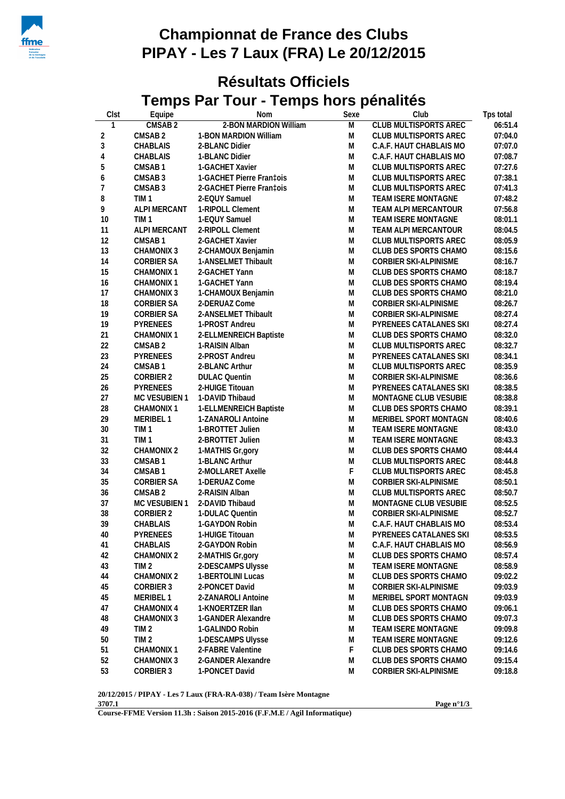

## **Championnat de France des Clubs PIPAY - Les 7 Laux (FRA) Le 20/12/2015**

## **Résultats Officiels Temps Par Tour - Temps hors pénalités**

| Clst           | Equipe                               | <b>Nom</b>                    | Sexe           | Club                                           | Tps total          |
|----------------|--------------------------------------|-------------------------------|----------------|------------------------------------------------|--------------------|
| 1              | CMSAB <sub>2</sub>                   | 2-BON MARDION William         | $\overline{M}$ | CLUB MULTISPORTS AREC                          | 06:51.4            |
| $\overline{2}$ | CMSAB <sub>2</sub>                   | 1-BON MARDION William         | M              | CLUB MULTISPORTS AREC                          | 07:04.0            |
| $\mathfrak{Z}$ | CHABLAIS                             | 2-BLANC Didier                | M              | C.A.F. HAUT CHABLAIS MO                        | 07:07.0            |
| 4              | CHABLAIS                             | 1-BLANC Didier                | M              | C.A.F. HAUT CHABLAIS MO                        | 07:08.7            |
| 5              | CMSAB1                               | 1-GACHET Xavier               | M              | CLUB MULTISPORTS AREC                          | 07:27.6            |
| 6              | CMSAB <sub>3</sub>                   | 1-GACHET Pierre Fran‡ois      | M              | CLUB MULTISPORTS AREC                          | 07:38.1            |
| $\overline{7}$ | CMSAB <sub>3</sub>                   | 2-GACHET Pierre Fran‡ois      | M              | CLUB MULTISPORTS AREC                          | 07:41.3            |
| 8              | TIM <sub>1</sub>                     | 2-EQUY Samuel                 | M              | TEAM ISERE MONTAGNE                            | 07:48.2            |
| 9              | ALPI MERCANT                         | 1-RIPOLL Clement              | M              | TEAM ALPI MERCANTOUR                           | 07:56.8            |
| 10             | TIM <sub>1</sub>                     | 1-EQUY Samuel                 | M              | TEAM ISERE MONTAGNE                            | 08:01.1            |
| 11             | ALPI MERCANT                         | 2-RIPOLL Clement              | M              | TEAM ALPI MERCANTOUR                           | 08:04.5            |
| 12             | CMSAB1                               | 2-GACHET Xavier               | M              | CLUB MULTISPORTS AREC                          | 08:05.9            |
| 13             | CHAMONIX 3                           | 2-CHAMOUX Benjamin            | M              | CLUB DES SPORTS CHAMO                          | 08:15.6            |
| 14             | CORBIER SA                           | 1-ANSELMET Thibault           | M              | CORBIER SKI-ALPINISME                          | 08:16.7            |
| 15             | CHAMONIX 1                           | 2-GACHET Yann                 | M              | CLUB DES SPORTS CHAMO                          | 08:18.7            |
| 16             | CHAMONIX 1                           | 1-GACHET Yann                 | M              | CLUB DES SPORTS CHAMO                          | 08:19.4            |
| 17             | CHAMONIX 3                           | 1-CHAMOUX Benjamin            | M              | CLUB DES SPORTS CHAMO                          | 08:21.0            |
| 18             | CORBIER SA                           | 2-DERUAZ Come                 | M              | CORBIER SKI-ALPINISME                          | 08:26.7            |
| 19             | CORBIER SA                           | 2-ANSELMET Thibault           | M              | CORBIER SKI-ALPINISME                          | 08:27.4            |
| 19             | PYRENEES                             | 1-PROST Andreu                | M              | PYRENEES CATALANES SKI                         | 08:27.4            |
| 21             | CHAMONIX 1                           | 2-ELLMENREICH Baptiste        | M              | CLUB DES SPORTS CHAMO                          | 08:32.0            |
| 22             | CMSAB <sub>2</sub>                   | 1-RAISIN Alban                | M              | CLUB MULTISPORTS AREC                          | 08:32.7            |
| 23             | <b>PYRENEES</b>                      | 2-PROST Andreu                | M              | PYRENEES CATALANES SKI                         | 08:34.1            |
| 24             | CMSAB1                               | 2-BLANC Arthur                | M              | CLUB MULTISPORTS AREC                          | 08:35.9            |
| 25             | CORBIER 2                            | <b>DULAC Quentin</b>          | M              | CORBIER SKI-ALPINISME                          | 08:36.6            |
| 26             | PYRENEES                             | 2-HUIGE Titouan               | M              | PYRENEES CATALANES SKI                         | 08:38.5            |
| 27             |                                      | MC VESUBIEN 1 1-DAVID Thibaud | M              |                                                | 08:38.8            |
|                |                                      |                               | M              | MONTAGNE CLUB VESUBIE                          |                    |
| 28             | CHAMONIX 1<br>MERIBEL 1              | 1-ELLMENREICH Baptiste        | M              | CLUB DES SPORTS CHAMO<br>MERIBEL SPORT MONTAGN | 08:39.1<br>08:40.6 |
| 29             |                                      | 1-ZANAROLI Antoine            |                |                                                |                    |
| 30             | TIM <sub>1</sub><br>TIM <sub>1</sub> | 1-BROTTET Julien              | M              | TEAM ISERE MONTAGNE<br>TEAM ISERE MONTAGNE     | 08:43.0            |
| 31             |                                      | 2-BROTTET Julien              | M              |                                                | 08:43.3            |
| 32             | CHAMONIX 2                           | 1-MATHIS Gr,gory              | M              | CLUB DES SPORTS CHAMO                          | 08:44.4            |
| 33             | CMSAB1                               | 1-BLANC Arthur                | M              | CLUB MULTISPORTS AREC                          | 08:44.8            |
| 34             | CMSAB1                               | 2-MOLLARET Axelle             | $\mathsf F$    | CLUB MULTISPORTS AREC                          | 08:45.8            |
| 35             | CORBIER SA                           | 1-DERUAZ Come                 | M              | CORBIER SKI-ALPINISME                          | 08:50.1            |
| 36             | CMSAB <sub>2</sub>                   | 2-RAISIN Alban                | M              | CLUB MULTISPORTS AREC                          | 08:50.7            |
| 37             | MC VESUBIEN 1                        | 2-DAVID Thibaud               | M              | MONTAGNE CLUB VESUBIE                          | 08:52.5            |
| 38             | CORBIER 2                            | 1-DULAC Quentin               | M              | CORBIER SKI-ALPINISME                          | 08:52.7            |
| 39             | <b>CHABLAIS</b>                      | 1-GAYDON Robin                | M              | C.A.F. HAUT CHABLAIS MO                        | 08:53.4            |
| $40\,$         | PYRENEES                             | 1-HUIGE Titouan               | M              | PYRENEES CATALANES SKI                         | 08:53.5            |
| 41             | CHABLAIS                             | 2-GAYDON Robin                | M              | C.A.F. HAUT CHABLAIS MO                        | 08:56.9            |
| 42             | CHAMONIX 2                           | 2-MATHIS Gr,gory              | M              | CLUB DES SPORTS CHAMO                          | 08:57.4            |
| 43             | TIM <sub>2</sub>                     | 2-DESCAMPS Ulysse             | M              | TEAM ISERE MONTAGNE                            | 08:58.9            |
| 44             | CHAMONIX 2                           | 1-BERTOLINI Lucas             | M              | CLUB DES SPORTS CHAMO                          | 09:02.2            |
| 45             | CORBIER 3                            | 2-PONCET David                | M              | CORBIER SKI-ALPINISME                          | 09:03.9            |
| 45             | MERIBEL 1                            | 2-ZANAROLI Antoine            | M              | MERIBEL SPORT MONTAGN                          | 09:03.9            |
| 47             | CHAMONIX 4                           | 1-KNOERTZER IIan              | M              | CLUB DES SPORTS CHAMO                          | 09:06.1            |
| 48             | CHAMONIX 3                           | 1-GANDER Alexandre            | M              | CLUB DES SPORTS CHAMO                          | 09:07.3            |
| 49             | TIM <sub>2</sub>                     | 1-GALINDO Robin               | M              | TEAM ISERE MONTAGNE                            | 09:09.8            |
| 50             | TIM <sub>2</sub>                     | 1-DESCAMPS Ulysse             | M              | TEAM ISERE MONTAGNE                            | 09:12.6            |
| 51             | <b>CHAMONIX1</b>                     | 2-FABRE Valentine             | $\mathsf F$    | CLUB DES SPORTS CHAMO                          | 09:14.6            |
| 52             | CHAMONIX 3                           | 2-GANDER Alexandre            | ${\sf M}$      | CLUB DES SPORTS CHAMO                          | 09:15.4            |
| 53             | CORBIER 3                            | 1-PONCET David                | M              | CORBIER SKI-ALPINISME                          | 09:18.8            |
|                |                                      |                               |                |                                                |                    |

**20/12/2015 / PIPAY - Les 7 Laux (FRA-RA-038) / Team Isère Montagne 3707.1**

**Page n°1/3**

**Course-FFME Version 11.3h : Saison 2015-2016 (F.F.M.E / Agil Informatique)**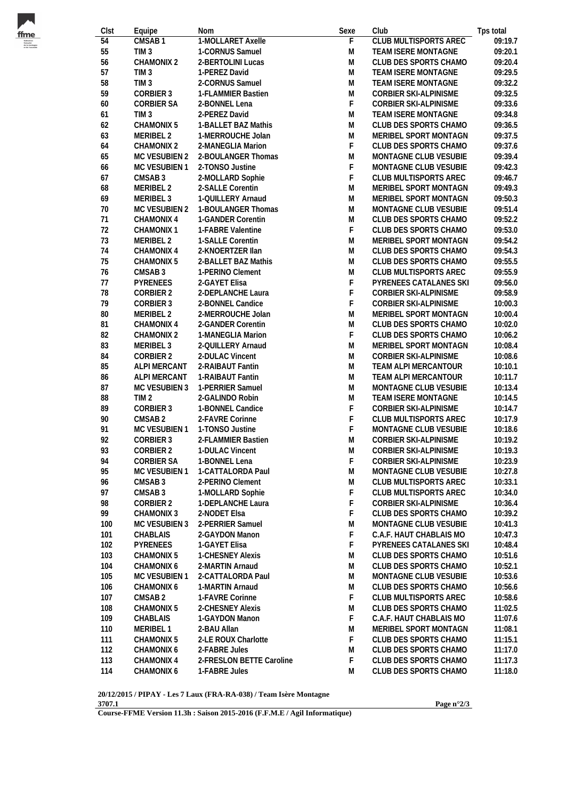

| Clst            | Equipe             | Nom                      | Sexe           | Club                         | Tps total |
|-----------------|--------------------|--------------------------|----------------|------------------------------|-----------|
| $\overline{54}$ | CMSAB1             | 1-MOLLARET Axelle        | $\overline{F}$ | <b>CLUB MULTISPORTS AREC</b> | 09:19.7   |
| 55              | TIM <sub>3</sub>   | 1-CORNUS Samuel          | M              | TEAM ISERE MONTAGNE          | 09:20.1   |
| 56              | CHAMONIX 2         | 2-BERTOLINI Lucas        | M              | CLUB DES SPORTS CHAMO        | 09:20.4   |
| 57              | TIM <sub>3</sub>   | 1-PEREZ David            | M              | TEAM ISERE MONTAGNE          | 09:29.5   |
| 58              | TIM <sub>3</sub>   | 2-CORNUS Samuel          | M              | TEAM ISERE MONTAGNE          | 09:32.2   |
| 59              | CORBIER 3          | 1-FLAMMIER Bastien       | M              | CORBIER SKI-ALPINISME        | 09:32.5   |
| 60              | <b>CORBIER SA</b>  | 2-BONNEL Lena            | F              | CORBIER SKI-ALPINISME        | 09:33.6   |
| 61              | TIM <sub>3</sub>   | 2-PEREZ David            | M              | TEAM ISERE MONTAGNE          | 09:34.8   |
| 62              | CHAMONIX 5         | 1-BALLET BAZ Mathis      | M              | CLUB DES SPORTS CHAMO        | 09:36.5   |
| 63              | MERIBEL 2          | 1-MERROUCHE Jolan        | M              | MERIBEL SPORT MONTAGN        | 09:37.5   |
| 64              | CHAMONIX 2         | 2-MANEGLIA Marion        | F              | CLUB DES SPORTS CHAMO        | 09:37.6   |
| 65              | MC VESUBIEN 2      | 2-BOULANGER Thomas       | ${\sf M}$      | MONTAGNE CLUB VESUBIE        | 09:39.4   |
| 66              | MC VESUBIEN 1      | 2-TONSO Justine          | F.             | MONTAGNE CLUB VESUBIE        | 09:42.3   |
| 67              | CMSAB <sub>3</sub> | 2-MOLLARD Sophie         | F              | CLUB MULTISPORTS AREC        | 09:46.7   |
| 68              | MERIBEL 2          | 2-SALLE Corentin         | M              | MERIBEL SPORT MONTAGN        | 09:49.3   |
| 69              | MERIBEL 3          | 1-QUILLERY Arnaud        | M              | MERIBEL SPORT MONTAGN        | 09:50.3   |
| 70              | MC VESUBIEN 2      | 1-BOULANGER Thomas       | M              | MONTAGNE CLUB VESUBIE        | 09:51.4   |
| 71              | CHAMONIX 4         | 1-GANDER Corentin        | M              | CLUB DES SPORTS CHAMO        | 09:52.2   |
| 72              | CHAMONIX 1         | 1-FABRE Valentine        | F              | CLUB DES SPORTS CHAMO        | 09:53.0   |
| 73              | MERIBEL 2          | 1-SALLE Corentin         | ${\sf M}$      | MERIBEL SPORT MONTAGN        | 09:54.2   |
| 74              | CHAMONIX 4         | 2-KNOERTZER IIan         | M              | CLUB DES SPORTS CHAMO        | 09:54.3   |
| 75              | CHAMONIX 5         | 2-BALLET BAZ Mathis      | M              | CLUB DES SPORTS CHAMO        | 09:55.5   |
| 76              | CMSAB 3            | 1-PERINO Clement         | M              | CLUB MULTISPORTS AREC        | 09:55.9   |
| 77              | PYRENEES           | 2-GAYET Elisa            | F              | PYRENEES CATALANES SKI       | 09:56.0   |
| 78              | CORBIER 2          | 2-DEPLANCHE Laura        | F              | CORBIER SKI-ALPINISME        | 09:58.9   |
| 79              | CORBIER 3          | 2-BONNEL Candice         | F              | CORBIER SKI-ALPINISME        | 10:00.3   |
| 80              | MERIBEL 2          | 2-MERROUCHE Jolan        | ${\sf M}$      | MERIBEL SPORT MONTAGN        | 10:00.4   |
| 81              | CHAMONIX 4         | 2-GANDER Corentin        | ${\sf M}$      | CLUB DES SPORTS CHAMO        | 10:02.0   |
| 82              | CHAMONIX 2         | 1-MANEGLIA Marion        | F.             | CLUB DES SPORTS CHAMO        | 10:06.2   |
| 83              | MERIBEL 3          | 2-QUILLERY Arnaud        | ${\sf M}$      | MERIBEL SPORT MONTAGN        | 10:08.4   |
| 84              | CORBIER 2          | 2-DULAC Vincent          | M              | CORBIER SKI-ALPINISME        | 10:08.6   |
| 85              | ALPI MERCANT       | 2-RAIBAUT Fantin         | M              | TEAM ALPI MERCANTOUR         | 10:10.1   |
| 86              | ALPI MERCANT       | 1-RAIBAUT Fantin         | M              | TEAM ALPI MERCANTOUR         | 10:11.7   |
| 87              | MC VESUBIEN 3      | 1-PERRIER Samuel         | M              | MONTAGNE CLUB VESUBIE        | 10:13.4   |
| 88              | TIM <sub>2</sub>   | 2-GALINDO Robin          | M              | TEAM ISERE MONTAGNE          | 10:14.5   |
| 89              | CORBIER 3          | 1-BONNEL Candice         | F              | CORBIER SKI-ALPINISME        | 10:14.7   |
| 90              | CMSAB <sub>2</sub> | 2-FAVRE Corinne          | F              | CLUB MULTISPORTS AREC        | 10:17.9   |
| 91              | MC VESUBIEN 1      | 1-TONSO Justine          | $\mathsf F$    | MONTAGNE CLUB VESUBIE        | 10:18.6   |
| 92              | CORBIER 3          | 2-FLAMMIER Bastien       | M              | CORBIER SKI-ALPINISME        | 10:19.2   |
| 93              | CORBIER 2          | 1-DULAC Vincent          | M              | CORBIER SKI-ALPINISME        | 10:19.3   |
| 94              | CORBIER SA         | 1-BONNEL Lena            | F              | CORBIER SKI-ALPINISME        | 10:23.9   |
| 95              | MC VESUBIEN 1      | 1-CATTALORDA Paul        | M              | MONTAGNE CLUB VESUBIE        | 10:27.8   |
| 96              | CMSAB 3            | 2-PERINO Clement         | M              | CLUB MULTISPORTS AREC        | 10:33.1   |
| 97              | CMSAB 3            | 1-MOLLARD Sophie         | F              | CLUB MULTISPORTS AREC        | 10:34.0   |
| 98              | CORBIER 2          | 1-DEPLANCHE Laura        | F              | CORBIER SKI-ALPINISME        | 10:36.4   |
| 99              | <b>CHAMONIX 3</b>  | 2-NODET Elsa             | F              | CLUB DES SPORTS CHAMO        | 10:39.2   |
| 100             | MC VESUBIEN 3      | 2-PERRIER Samuel         | M              | MONTAGNE CLUB VESUBIE        | 10:41.3   |
| 101             | <b>CHABLAIS</b>    | 2-GAYDON Manon           | F              | C.A.F. HAUT CHABLAIS MO      | 10:47.3   |
| 102             | <b>PYRENEES</b>    | 1-GAYET Elisa            | F              | PYRENEES CATALANES SKI       | 10:48.4   |
| 103             | CHAMONIX 5         | 1-CHESNEY Alexis         | M              | CLUB DES SPORTS CHAMO        | 10:51.6   |
| 104             | CHAMONIX 6         | 2-MARTIN Arnaud          | M              | CLUB DES SPORTS CHAMO        | 10:52.1   |
| 105             | MC VESUBIEN 1      | 2-CATTALORDA Paul        | M              | MONTAGNE CLUB VESUBIE        | 10:53.6   |
| 106             | CHAMONIX 6         | 1-MARTIN Arnaud          | M              | CLUB DES SPORTS CHAMO        | 10:56.6   |
| 107             | CMSAB <sub>2</sub> | 1-FAVRE Corinne          | F              | CLUB MULTISPORTS AREC        | 10:58.6   |
| 108             | CHAMONIX 5         | 2-CHESNEY Alexis         | M              | CLUB DES SPORTS CHAMO        | 11:02.5   |
| 109             | CHABLAIS           | 1-GAYDON Manon           | F              | C.A.F. HAUT CHABLAIS MO      | 11:07.6   |
| 110             | MERIBEL 1          | 2-BAU Allan              | M              | MERIBEL SPORT MONTAGN        | 11:08.1   |
| 111             | CHAMONIX 5         | 2-LE ROUX Charlotte      | F              | CLUB DES SPORTS CHAMO        | 11:15.1   |
| 112             | CHAMONIX 6         | 2-FABRE Jules            | M              | CLUB DES SPORTS CHAMO        | 11:17.0   |
| 113             | CHAMONIX 4         | 2-FRESLON BETTE Caroline | F              | CLUB DES SPORTS CHAMO        | 11:17.3   |
| 114             | CHAMONIX 6         | 1-FABRE Jules            | M              | CLUB DES SPORTS CHAMO        | 11:18.0   |
|                 |                    |                          |                |                              |           |

**20/12/2015 / PIPAY - Les 7 Laux (FRA-RA-038) / Team Isère Montagne 3707.1**

**Page n°2/3**

**Course-FFME Version 11.3h : Saison 2015-2016 (F.F.M.E / Agil Informatique)**